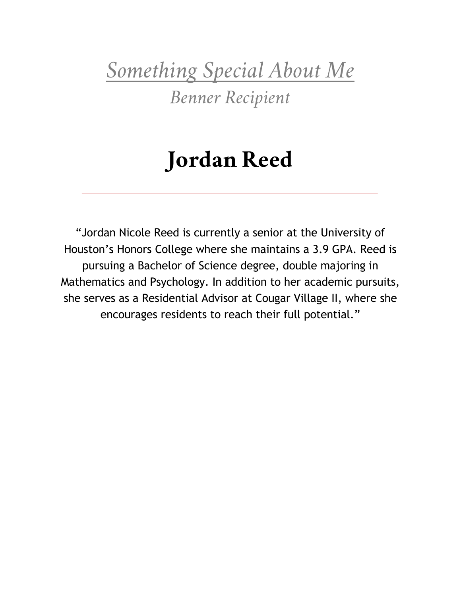*Something Special About Me*

*Benner Recipient*

### **Jordan Reed**

"Jordan Nicole Reed is currently a senior at the University of Houston's Honors College where she maintains a 3.9 GPA. Reed is pursuing a Bachelor of Science degree, double majoring in Mathematics and Psychology. In addition to her academic pursuits, she serves as a Residential Advisor at Cougar Village II, where she encourages residents to reach their full potential."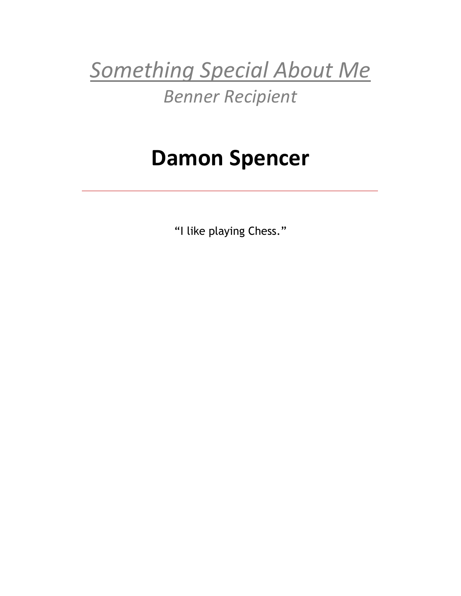*Something Special About Me Benner Recipient*

### **Damon Spencer**

"I like playing Chess."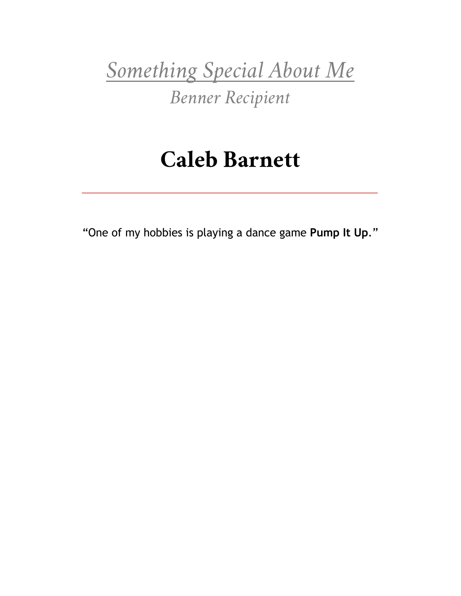*Something Special About Me*

*Benner Recipient*

### **Caleb Barnett**

"One of my hobbies is playing a dance game **Pump It Up**."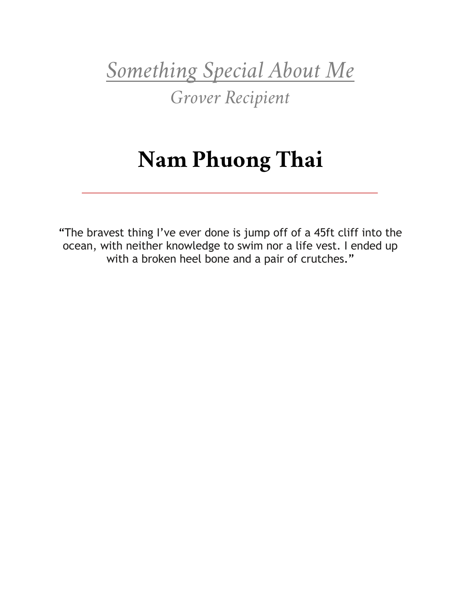*Something Special About Me*

*Grover Recipient*

# **Nam Phuong Thai**

"The bravest thing I've ever done is jump off of a 45ft cliff into the ocean, with neither knowledge to swim nor a life vest. I ended up with a broken heel bone and a pair of crutches."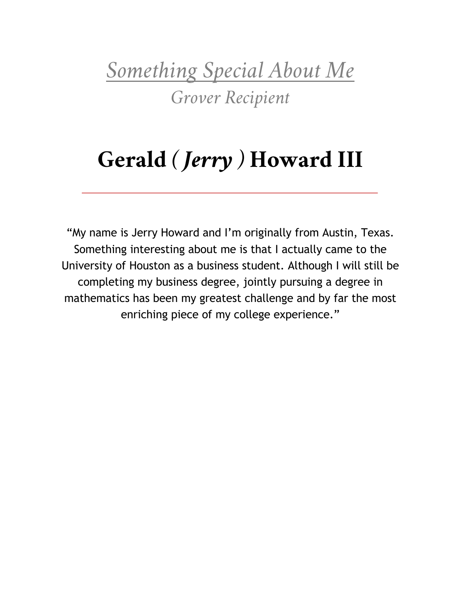*Something Special About Me Grover Recipient*

# **Gerald** *( Jerry )* **Howard III**

"My name is Jerry Howard and I'm originally from Austin, Texas. Something interesting about me is that I actually came to the University of Houston as a business student. Although I will still be completing my business degree, jointly pursuing a degree in mathematics has been my greatest challenge and by far the most enriching piece of my college experience."